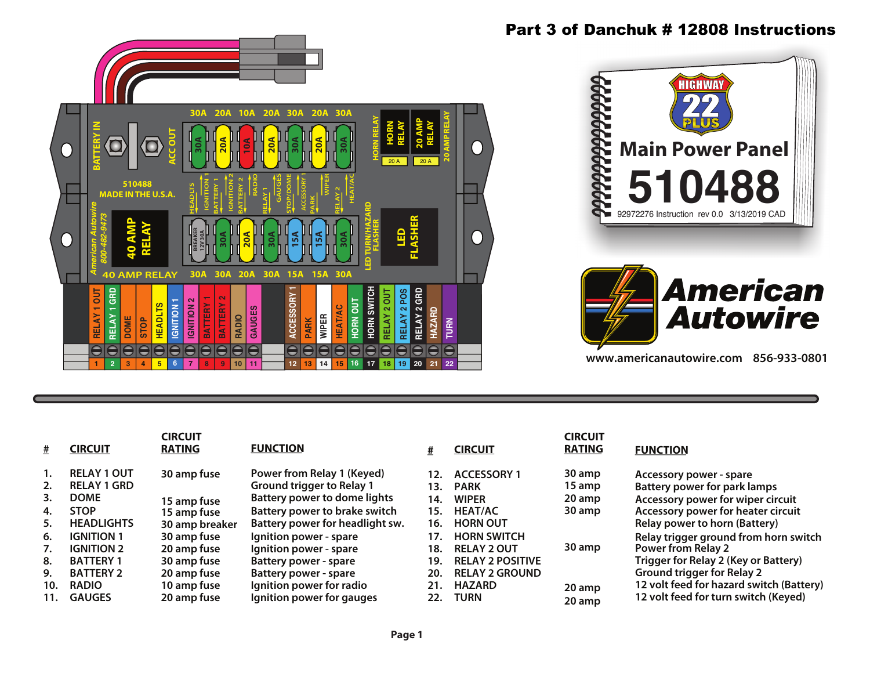

## Part 3 of Danchuk # 12808 Instructions



**www.americanautowire.com 856-933-0801**

|     | CIRCUIT            | <b>CIRCUIT</b><br><b>RATING</b> | <b>FUNCTION</b>                  |     | <b>CIRCUIT</b>          | <b>CIRCUIT</b><br><b>RATING</b> | <b>FUNCTION</b>                          |
|-----|--------------------|---------------------------------|----------------------------------|-----|-------------------------|---------------------------------|------------------------------------------|
|     | <b>RELAY 1 OUT</b> | 30 amp fuse                     | Power from Relay 1 (Keyed)       | 12. | <b>ACCESSORY 1</b>      | 30 amp                          | Accessory power - spare                  |
|     | <b>RELAY 1 GRD</b> |                                 | <b>Ground trigger to Relay 1</b> | 13. | <b>PARK</b>             | 15 amp                          | <b>Battery power for park lamps</b>      |
|     | <b>DOME</b>        | 15 amp fuse                     | Battery power to dome lights     | 14. | <b>WIPER</b>            | 20 amp                          | Accessory power for wiper circuit        |
| 4.  | <b>STOP</b>        | 15 amp fuse                     | Battery power to brake switch    | 15. | <b>HEAT/AC</b>          | 30 amp                          | Accessory power for heater circuit       |
| 5.  | <b>HEADLIGHTS</b>  | 30 amp breaker                  | Battery power for headlight sw.  | 16. | <b>HORN OUT</b>         |                                 | <b>Relay power to horn (Battery)</b>     |
| 6.  | <b>IGNITION 1</b>  | 30 amp fuse                     | Ignition power - spare           | 17. | <b>HORN SWITCH</b>      |                                 | Relay trigger ground from horn switch    |
|     | <b>IGNITION 2</b>  | 20 amp fuse                     | Ignition power - spare           | 18. | <b>RELAY 2 OUT</b>      | 30 amp                          | <b>Power from Relay 2</b>                |
| 8.  | <b>BATTERY 1</b>   | 30 amp fuse                     | Battery power - spare            | 19. | <b>RELAY 2 POSITIVE</b> |                                 | Trigger for Relay 2 (Key or Battery)     |
| 9.  | <b>BATTERY 2</b>   | 20 amp fuse                     | Battery power - spare            | 20. | <b>RELAY 2 GROUND</b>   |                                 | <b>Ground trigger for Relay 2</b>        |
| 10. | <b>RADIO</b>       | 10 amp fuse                     | Ignition power for radio         | 21. | <b>HAZARD</b>           | 20 amp                          | 12 volt feed for hazard switch (Battery) |
| 11. | <b>GAUGES</b>      | 20 amp fuse                     | Ignition power for gauges        | 22. | <b>TURN</b>             | 20 amp                          | 12 volt feed for turn switch (Keyed)     |

## **Page 1**